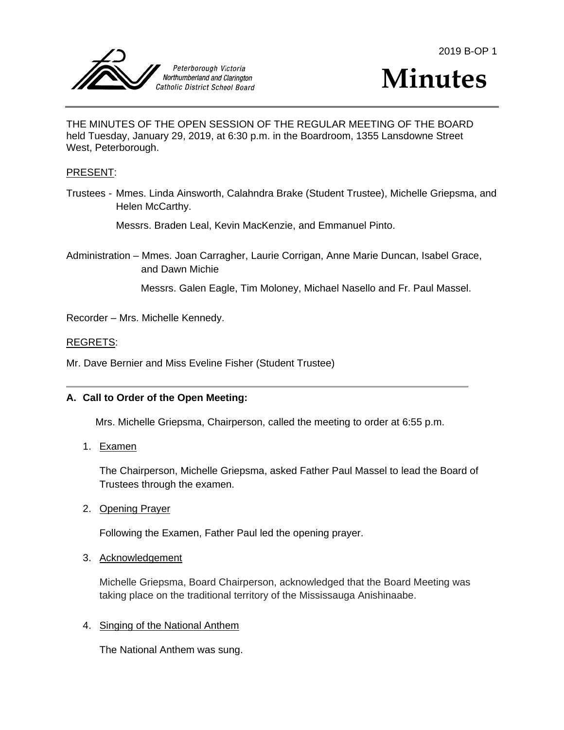



THE MINUTES OF THE OPEN SESSION OF THE REGULAR MEETING OF THE BOARD held Tuesday, January 29, 2019, at 6:30 p.m. in the Boardroom, 1355 Lansdowne Street West, Peterborough.

### PRESENT:

Trustees - Mmes. Linda Ainsworth, Calahndra Brake (Student Trustee), Michelle Griepsma, and Helen McCarthy.

Messrs. Braden Leal, Kevin MacKenzie, and Emmanuel Pinto.

Administration – Mmes. Joan Carragher, Laurie Corrigan, Anne Marie Duncan, Isabel Grace, and Dawn Michie

Messrs. Galen Eagle, Tim Moloney, Michael Nasello and Fr. Paul Massel.

Recorder – Mrs. Michelle Kennedy.

#### REGRETS:

Mr. Dave Bernier and Miss Eveline Fisher (Student Trustee)

## **A. Call to Order of the Open Meeting:**

Mrs. Michelle Griepsma, Chairperson, called the meeting to order at 6:55 p.m.

1. Examen

The Chairperson, Michelle Griepsma, asked Father Paul Massel to lead the Board of Trustees through the examen.

2. Opening Prayer

Following the Examen, Father Paul led the opening prayer.

3. Acknowledgement

Michelle Griepsma, Board Chairperson, acknowledged that the Board Meeting was taking place on the traditional territory of the Mississauga Anishinaabe.

4. Singing of the National Anthem

The National Anthem was sung.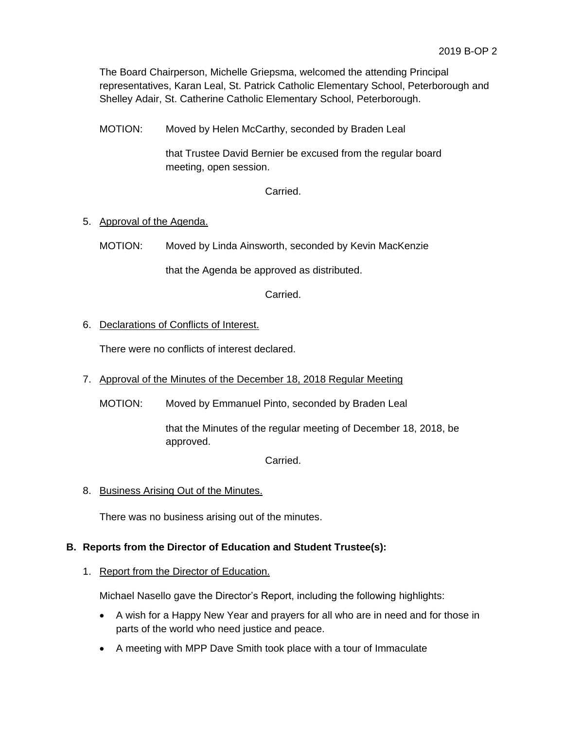The Board Chairperson, Michelle Griepsma, welcomed the attending Principal representatives, Karan Leal, St. Patrick Catholic Elementary School, Peterborough and Shelley Adair, St. Catherine Catholic Elementary School, Peterborough.

MOTION: Moved by Helen McCarthy, seconded by Braden Leal

that Trustee David Bernier be excused from the regular board meeting, open session.

Carried.

# 5. Approval of the Agenda.

MOTION: Moved by Linda Ainsworth, seconded by Kevin MacKenzie

that the Agenda be approved as distributed.

Carried.

## 6. Declarations of Conflicts of Interest.

There were no conflicts of interest declared.

- 7. Approval of the Minutes of the December 18, 2018 Regular Meeting
	- MOTION: Moved by Emmanuel Pinto, seconded by Braden Leal

that the Minutes of the regular meeting of December 18, 2018, be approved.

Carried.

8. Business Arising Out of the Minutes.

There was no business arising out of the minutes.

## **B. Reports from the Director of Education and Student Trustee(s):**

### 1. Report from the Director of Education.

Michael Nasello gave the Director's Report, including the following highlights:

- A wish for a Happy New Year and prayers for all who are in need and for those in parts of the world who need justice and peace.
- A meeting with MPP Dave Smith took place with a tour of Immaculate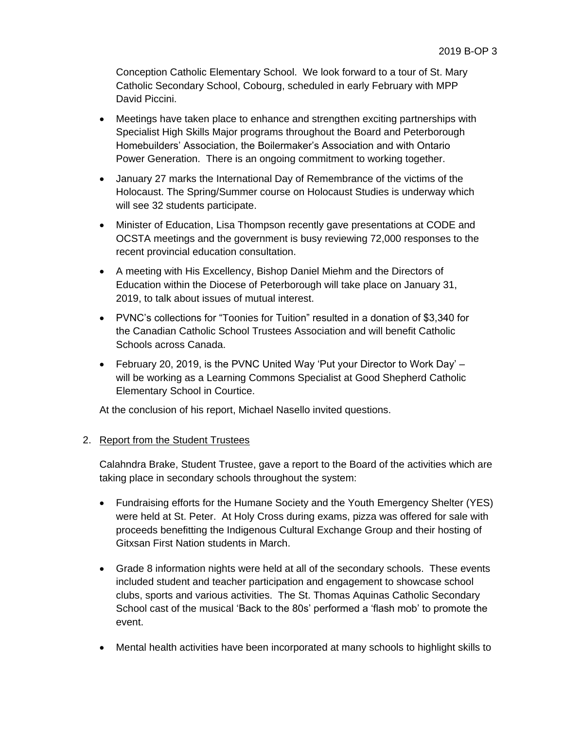Conception Catholic Elementary School. We look forward to a tour of St. Mary Catholic Secondary School, Cobourg, scheduled in early February with MPP David Piccini.

- Meetings have taken place to enhance and strengthen exciting partnerships with Specialist High Skills Major programs throughout the Board and Peterborough Homebuilders' Association, the Boilermaker's Association and with Ontario Power Generation. There is an ongoing commitment to working together.
- January 27 marks the International Day of Remembrance of the victims of the Holocaust. The Spring/Summer course on Holocaust Studies is underway which will see 32 students participate.
- Minister of Education, Lisa Thompson recently gave presentations at CODE and OCSTA meetings and the government is busy reviewing 72,000 responses to the recent provincial education consultation.
- A meeting with His Excellency, Bishop Daniel Miehm and the Directors of Education within the Diocese of Peterborough will take place on January 31, 2019, to talk about issues of mutual interest.
- PVNC's collections for "Toonies for Tuition" resulted in a donation of \$3,340 for the Canadian Catholic School Trustees Association and will benefit Catholic Schools across Canada.
- February 20, 2019, is the PVNC United Way 'Put your Director to Work Day' will be working as a Learning Commons Specialist at Good Shepherd Catholic Elementary School in Courtice.

At the conclusion of his report, Michael Nasello invited questions.

# 2. Report from the Student Trustees

Calahndra Brake, Student Trustee, gave a report to the Board of the activities which are taking place in secondary schools throughout the system:

- Fundraising efforts for the Humane Society and the Youth Emergency Shelter (YES) were held at St. Peter. At Holy Cross during exams, pizza was offered for sale with proceeds benefitting the Indigenous Cultural Exchange Group and their hosting of Gitxsan First Nation students in March.
- Grade 8 information nights were held at all of the secondary schools. These events included student and teacher participation and engagement to showcase school clubs, sports and various activities. The St. Thomas Aquinas Catholic Secondary School cast of the musical 'Back to the 80s' performed a 'flash mob' to promote the event.
- Mental health activities have been incorporated at many schools to highlight skills to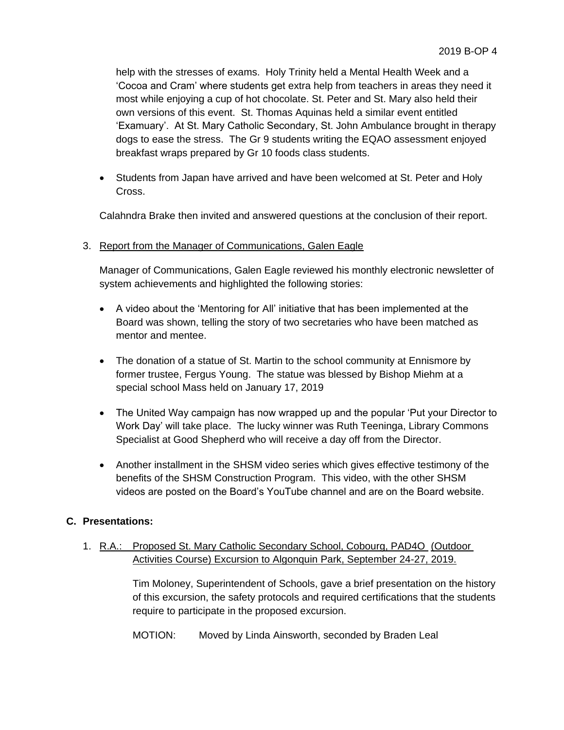help with the stresses of exams. Holy Trinity held a Mental Health Week and a 'Cocoa and Cram' where students get extra help from teachers in areas they need it most while enjoying a cup of hot chocolate. St. Peter and St. Mary also held their own versions of this event. St. Thomas Aquinas held a similar event entitled 'Examuary'. At St. Mary Catholic Secondary, St. John Ambulance brought in therapy dogs to ease the stress. The Gr 9 students writing the EQAO assessment enjoyed breakfast wraps prepared by Gr 10 foods class students.

 Students from Japan have arrived and have been welcomed at St. Peter and Holy Cross.

Calahndra Brake then invited and answered questions at the conclusion of their report.

### 3. Report from the Manager of Communications, Galen Eagle

Manager of Communications, Galen Eagle reviewed his monthly electronic newsletter of system achievements and highlighted the following stories:

- A video about the 'Mentoring for All' initiative that has been implemented at the Board was shown, telling the story of two secretaries who have been matched as mentor and mentee.
- The donation of a statue of St. Martin to the school community at Ennismore by former trustee, Fergus Young. The statue was blessed by Bishop Miehm at a special school Mass held on January 17, 2019
- The United Way campaign has now wrapped up and the popular 'Put your Director to Work Day' will take place. The lucky winner was Ruth Teeninga, Library Commons Specialist at Good Shepherd who will receive a day off from the Director.
- Another installment in the SHSM video series which gives effective testimony of the benefits of the SHSM Construction Program. This video, with the other SHSM videos are posted on the Board's YouTube channel and are on the Board website.

### **C. Presentations:**

# 1. R.A.: Proposed St. Mary Catholic Secondary School, Cobourg, PAD4O (Outdoor Activities Course) Excursion to Algonquin Park, September 24-27, 2019.

Tim Moloney, Superintendent of Schools, gave a brief presentation on the history of this excursion, the safety protocols and required certifications that the students require to participate in the proposed excursion.

MOTION: Moved by Linda Ainsworth, seconded by Braden Leal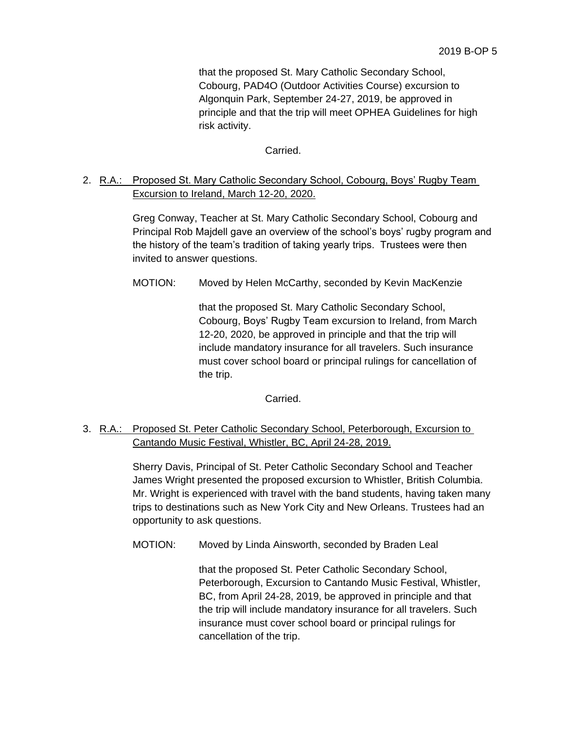that the proposed St. Mary Catholic Secondary School, Cobourg, PAD4O (Outdoor Activities Course) excursion to Algonquin Park, September 24-27, 2019, be approved in principle and that the trip will meet OPHEA Guidelines for high risk activity.

Carried.

# 2. R.A.: Proposed St. Mary Catholic Secondary School, Cobourg, Boys' Rugby Team Excursion to Ireland, March 12-20, 2020.

Greg Conway, Teacher at St. Mary Catholic Secondary School, Cobourg and Principal Rob Majdell gave an overview of the school's boys' rugby program and the history of the team's tradition of taking yearly trips. Trustees were then invited to answer questions.

MOTION: Moved by Helen McCarthy, seconded by Kevin MacKenzie

that the proposed St. Mary Catholic Secondary School, Cobourg, Boys' Rugby Team excursion to Ireland, from March 12-20, 2020, be approved in principle and that the trip will include mandatory insurance for all travelers. Such insurance must cover school board or principal rulings for cancellation of the trip.

Carried.

3. R.A.: Proposed St. Peter Catholic Secondary School, Peterborough, Excursion to Cantando Music Festival, Whistler, BC, April 24-28, 2019.

> Sherry Davis, Principal of St. Peter Catholic Secondary School and Teacher James Wright presented the proposed excursion to Whistler, British Columbia. Mr. Wright is experienced with travel with the band students, having taken many trips to destinations such as New York City and New Orleans. Trustees had an opportunity to ask questions.

MOTION: Moved by Linda Ainsworth, seconded by Braden Leal

that the proposed St. Peter Catholic Secondary School, Peterborough, Excursion to Cantando Music Festival, Whistler, BC, from April 24-28, 2019, be approved in principle and that the trip will include mandatory insurance for all travelers. Such insurance must cover school board or principal rulings for cancellation of the trip.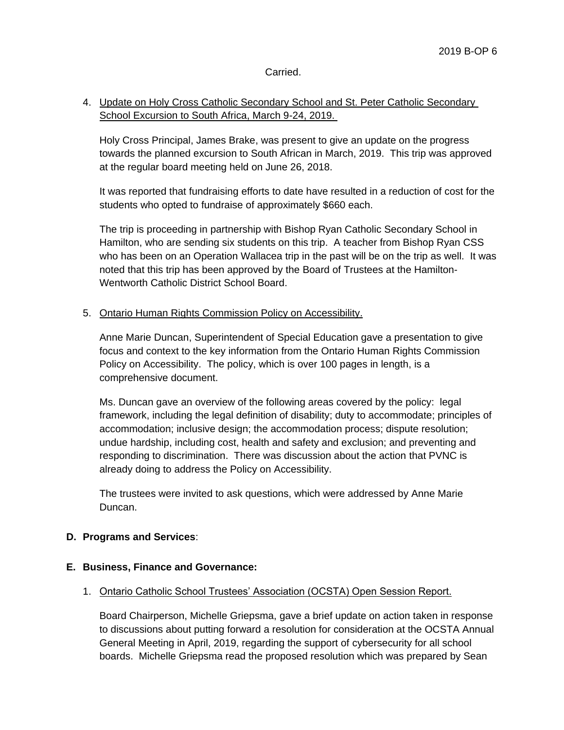## Carried.

# 4. Update on Holy Cross Catholic Secondary School and St. Peter Catholic Secondary School Excursion to South Africa, March 9-24, 2019.

Holy Cross Principal, James Brake, was present to give an update on the progress towards the planned excursion to South African in March, 2019. This trip was approved at the regular board meeting held on June 26, 2018.

It was reported that fundraising efforts to date have resulted in a reduction of cost for the students who opted to fundraise of approximately \$660 each.

The trip is proceeding in partnership with Bishop Ryan Catholic Secondary School in Hamilton, who are sending six students on this trip. A teacher from Bishop Ryan CSS who has been on an Operation Wallacea trip in the past will be on the trip as well. It was noted that this trip has been approved by the Board of Trustees at the Hamilton-Wentworth Catholic District School Board.

## 5. Ontario Human Rights Commission Policy on Accessibility.

Anne Marie Duncan, Superintendent of Special Education gave a presentation to give focus and context to the key information from the Ontario Human Rights Commission Policy on Accessibility. The policy, which is over 100 pages in length, is a comprehensive document.

Ms. Duncan gave an overview of the following areas covered by the policy: legal framework, including the legal definition of disability; duty to accommodate; principles of accommodation; inclusive design; the accommodation process; dispute resolution; undue hardship, including cost, health and safety and exclusion; and preventing and responding to discrimination. There was discussion about the action that PVNC is already doing to address the Policy on Accessibility.

The trustees were invited to ask questions, which were addressed by Anne Marie Duncan.

### **D. Programs and Services**:

### **E. Business, Finance and Governance:**

### 1. Ontario Catholic School Trustees' Association (OCSTA) Open Session Report.

Board Chairperson, Michelle Griepsma, gave a brief update on action taken in response to discussions about putting forward a resolution for consideration at the OCSTA Annual General Meeting in April, 2019, regarding the support of cybersecurity for all school boards. Michelle Griepsma read the proposed resolution which was prepared by Sean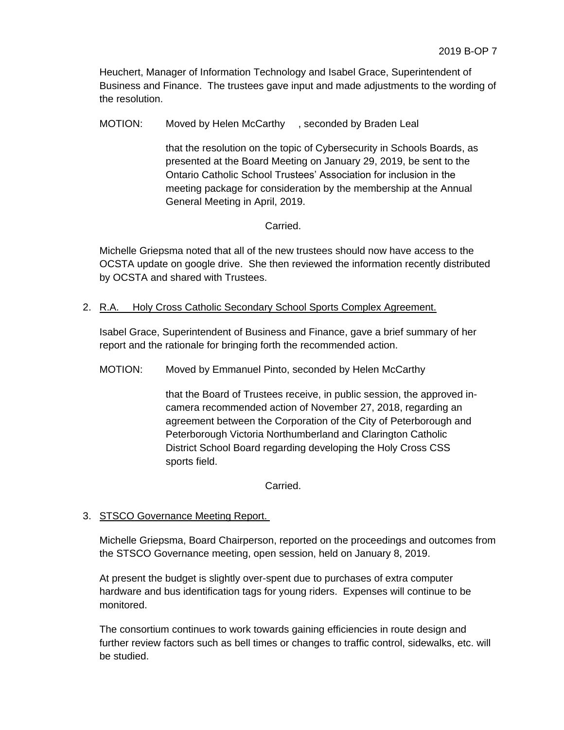Heuchert, Manager of Information Technology and Isabel Grace, Superintendent of Business and Finance. The trustees gave input and made adjustments to the wording of the resolution.

MOTION: Moved by Helen McCarthy , seconded by Braden Leal

that the resolution on the topic of Cybersecurity in Schools Boards, as presented at the Board Meeting on January 29, 2019, be sent to the Ontario Catholic School Trustees' Association for inclusion in the meeting package for consideration by the membership at the Annual General Meeting in April, 2019.

# **Carried**

Michelle Griepsma noted that all of the new trustees should now have access to the OCSTA update on google drive. She then reviewed the information recently distributed by OCSTA and shared with Trustees.

## 2. R.A. Holy Cross Catholic Secondary School Sports Complex Agreement.

Isabel Grace, Superintendent of Business and Finance, gave a brief summary of her report and the rationale for bringing forth the recommended action.

MOTION: Moved by Emmanuel Pinto, seconded by Helen McCarthy

that the Board of Trustees receive, in public session, the approved incamera recommended action of November 27, 2018, regarding an agreement between the Corporation of the City of Peterborough and Peterborough Victoria Northumberland and Clarington Catholic District School Board regarding developing the Holy Cross CSS sports field.

Carried.

# 3. STSCO Governance Meeting Report.

Michelle Griepsma, Board Chairperson, reported on the proceedings and outcomes from the STSCO Governance meeting, open session, held on January 8, 2019.

At present the budget is slightly over-spent due to purchases of extra computer hardware and bus identification tags for young riders. Expenses will continue to be monitored.

The consortium continues to work towards gaining efficiencies in route design and further review factors such as bell times or changes to traffic control, sidewalks, etc. will be studied.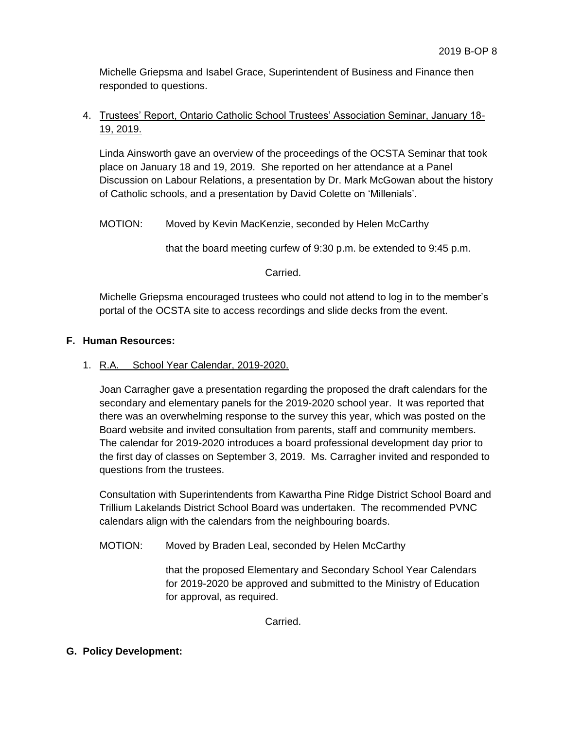Michelle Griepsma and Isabel Grace, Superintendent of Business and Finance then responded to questions.

# 4. Trustees' Report, Ontario Catholic School Trustees' Association Seminar, January 18- 19, 2019.

Linda Ainsworth gave an overview of the proceedings of the OCSTA Seminar that took place on January 18 and 19, 2019. She reported on her attendance at a Panel Discussion on Labour Relations, a presentation by Dr. Mark McGowan about the history of Catholic schools, and a presentation by David Colette on 'Millenials'.

# MOTION: Moved by Kevin MacKenzie, seconded by Helen McCarthy

that the board meeting curfew of 9:30 p.m. be extended to 9:45 p.m.

# Carried.

Michelle Griepsma encouraged trustees who could not attend to log in to the member's portal of the OCSTA site to access recordings and slide decks from the event.

# **F. Human Resources:**

# 1. R.A. School Year Calendar, 2019-2020.

Joan Carragher gave a presentation regarding the proposed the draft calendars for the secondary and elementary panels for the 2019-2020 school year. It was reported that there was an overwhelming response to the survey this year, which was posted on the Board website and invited consultation from parents, staff and community members. The calendar for 2019-2020 introduces a board professional development day prior to the first day of classes on September 3, 2019. Ms. Carragher invited and responded to questions from the trustees.

Consultation with Superintendents from Kawartha Pine Ridge District School Board and Trillium Lakelands District School Board was undertaken. The recommended PVNC calendars align with the calendars from the neighbouring boards.

# MOTION: Moved by Braden Leal, seconded by Helen McCarthy

that the proposed Elementary and Secondary School Year Calendars for 2019-2020 be approved and submitted to the Ministry of Education for approval, as required.

**Carried** 

# **G. Policy Development:**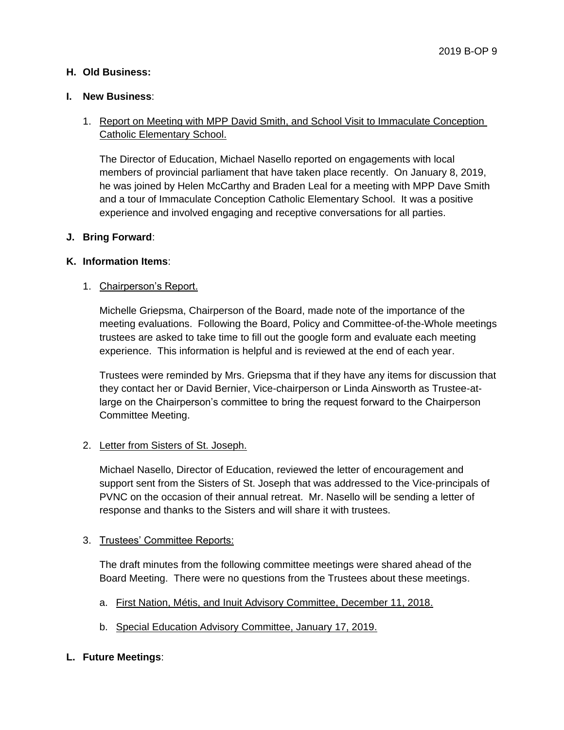# **H. Old Business:**

## **I. New Business**:

# 1. Report on Meeting with MPP David Smith, and School Visit to Immaculate Conception Catholic Elementary School.

The Director of Education, Michael Nasello reported on engagements with local members of provincial parliament that have taken place recently. On January 8, 2019, he was joined by Helen McCarthy and Braden Leal for a meeting with MPP Dave Smith and a tour of Immaculate Conception Catholic Elementary School. It was a positive experience and involved engaging and receptive conversations for all parties.

### **J. Bring Forward**:

## **K. Information Items**:

# 1. Chairperson's Report.

Michelle Griepsma, Chairperson of the Board, made note of the importance of the meeting evaluations. Following the Board, Policy and Committee-of-the-Whole meetings trustees are asked to take time to fill out the google form and evaluate each meeting experience. This information is helpful and is reviewed at the end of each year.

Trustees were reminded by Mrs. Griepsma that if they have any items for discussion that they contact her or David Bernier, Vice-chairperson or Linda Ainsworth as Trustee-atlarge on the Chairperson's committee to bring the request forward to the Chairperson Committee Meeting.

# 2. Letter from Sisters of St. Joseph.

Michael Nasello, Director of Education, reviewed the letter of encouragement and support sent from the Sisters of St. Joseph that was addressed to the Vice-principals of PVNC on the occasion of their annual retreat. Mr. Nasello will be sending a letter of response and thanks to the Sisters and will share it with trustees.

### 3. Trustees' Committee Reports:

The draft minutes from the following committee meetings were shared ahead of the Board Meeting. There were no questions from the Trustees about these meetings.

- a. First Nation, Métis, and Inuit Advisory Committee, December 11, 2018.
- b. Special Education Advisory Committee, January 17, 2019.

# **L. Future Meetings**: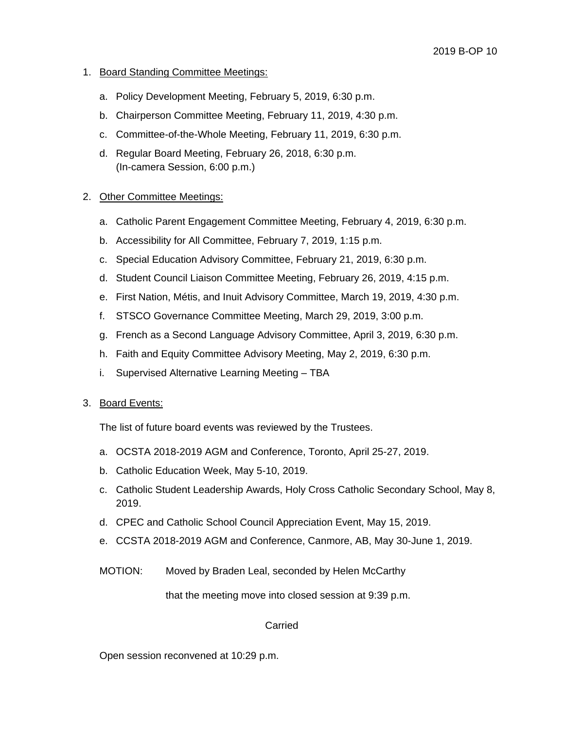# 1. Board Standing Committee Meetings:

- a. Policy Development Meeting, February 5, 2019, 6:30 p.m.
- b. Chairperson Committee Meeting, February 11, 2019, 4:30 p.m.
- c. Committee-of-the-Whole Meeting, February 11, 2019, 6:30 p.m.
- d. Regular Board Meeting, February 26, 2018, 6:30 p.m. (In-camera Session, 6:00 p.m.)

# 2. Other Committee Meetings:

- a. Catholic Parent Engagement Committee Meeting, February 4, 2019, 6:30 p.m.
- b. Accessibility for All Committee, February 7, 2019, 1:15 p.m.
- c. Special Education Advisory Committee, February 21, 2019, 6:30 p.m.
- d. Student Council Liaison Committee Meeting, February 26, 2019, 4:15 p.m.
- e. First Nation, Métis, and Inuit Advisory Committee, March 19, 2019, 4:30 p.m.
- f. STSCO Governance Committee Meeting, March 29, 2019, 3:00 p.m.
- g. French as a Second Language Advisory Committee, April 3, 2019, 6:30 p.m.
- h. Faith and Equity Committee Advisory Meeting, May 2, 2019, 6:30 p.m.
- i. Supervised Alternative Learning Meeting TBA

### 3. Board Events:

The list of future board events was reviewed by the Trustees.

- a. OCSTA 2018-2019 AGM and Conference, Toronto, April 25-27, 2019.
- b. Catholic Education Week, May 5-10, 2019.
- c. Catholic Student Leadership Awards, Holy Cross Catholic Secondary School, May 8, 2019.
- d. CPEC and Catholic School Council Appreciation Event, May 15, 2019.
- e. CCSTA 2018-2019 AGM and Conference, Canmore, AB, May 30-June 1, 2019.
- MOTION: Moved by Braden Leal, seconded by Helen McCarthy

that the meeting move into closed session at 9:39 p.m.

### Carried

Open session reconvened at 10:29 p.m.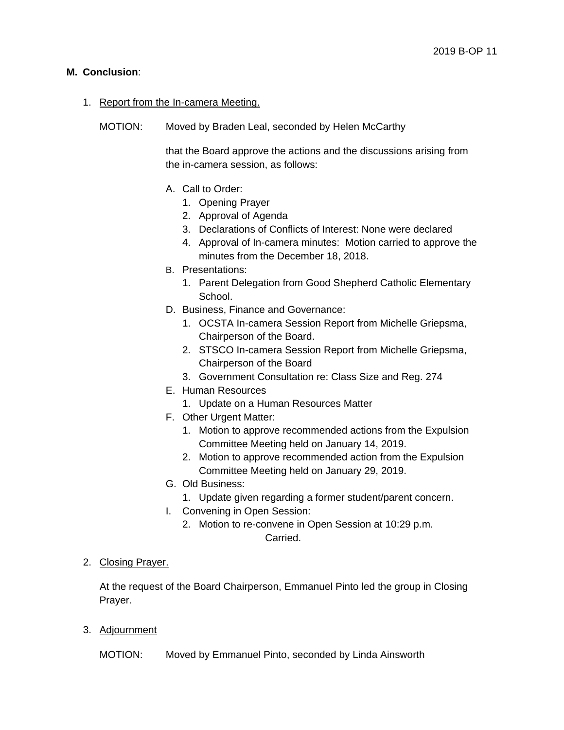# **M. Conclusion**:

# 1. Report from the In-camera Meeting.

MOTION: Moved by Braden Leal, seconded by Helen McCarthy

that the Board approve the actions and the discussions arising from the in-camera session, as follows:

- A. Call to Order:
	- 1. Opening Prayer
	- 2. Approval of Agenda
	- 3. Declarations of Conflicts of Interest: None were declared
	- 4. Approval of In-camera minutes: Motion carried to approve the minutes from the December 18, 2018.
- B. Presentations:
	- 1. Parent Delegation from Good Shepherd Catholic Elementary School.
- D. Business, Finance and Governance:
	- 1. OCSTA In-camera Session Report from Michelle Griepsma, Chairperson of the Board.
	- 2. STSCO In-camera Session Report from Michelle Griepsma, Chairperson of the Board
	- 3. Government Consultation re: Class Size and Reg. 274
- E. Human Resources
	- 1. Update on a Human Resources Matter
- F. Other Urgent Matter:
	- 1. Motion to approve recommended actions from the Expulsion Committee Meeting held on January 14, 2019.
	- 2. Motion to approve recommended action from the Expulsion Committee Meeting held on January 29, 2019.
- G. Old Business:
	- 1. Update given regarding a former student/parent concern.
- I. Convening in Open Session:
	- 2. Motion to re-convene in Open Session at 10:29 p.m. Carried.

# 2. Closing Prayer.

At the request of the Board Chairperson, Emmanuel Pinto led the group in Closing Prayer.

3. Adjournment

MOTION: Moved by Emmanuel Pinto, seconded by Linda Ainsworth